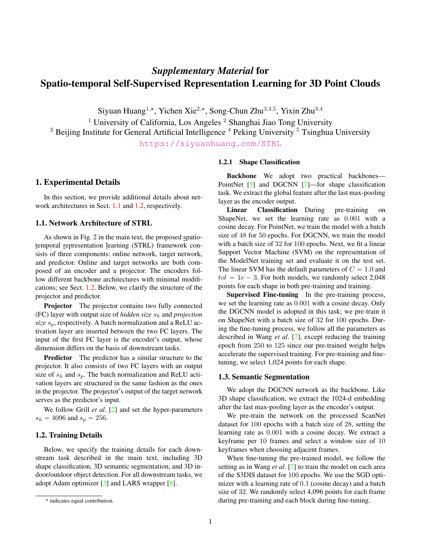# <span id="page-0-2"></span>*Supplementary Material* for Spatio-temporal Self-Supervised Representation Learning for 3D Point Clouds

Siyuan Huang<sup>1,\*</sup>, Yichen Xie<sup>2,\*</sup>, Song-Chun Zhu<sup>3,4,5</sup>, Yixin Zhu<sup>3,4</sup>

<sup>1</sup> University of California, Los Angeles<sup>2</sup> Shanghai Jiao Tong University

 $3$  Beijing Institute for General Artificial Intelligence  $4$  Peking University  $5$  Tsinghua University

<https://siyuanhuang.com/STRL>

## 1. Experimental Details

In this section, we provide additional details about net-work architectures in Sect. [1.1](#page-0-0) and [1.2,](#page-0-1) respectively.

#### <span id="page-0-0"></span>1.1. Network Architecture of STRL

As shown in Fig. 2 in the main text, the proposed spatiotemporal representation learning (STRL) framework consists of three components: online network, target network, and predictor. Online and target networks are both composed of an encoder and a projector. The encoders follow different backbone architectures with minimal modifications; see Sect. [1.2.](#page-0-1) Below, we clarify the structure of the projector and predictor.

Projector The projector contains two fully connected (FC) layer with output size of *hidden size*  $s_h$  and *projection size*  $s_p$ , respectively. A batch normalization and a ReLU activation layer are inserted between the two FC layers. The input of the first FC layer is the encoder's output, whose dimension differs on the basis of downstream tasks.

Predictor The predictor has a similar structure to the projector. It also consists of two FC layers with an output size of  $s_h$  and  $s_p$ . The batch normalization and ReLU activation layers are structured in the same fashion as the ones in the projector. The projector's output of the target network serves as the predictor's input.

We follow Grill *et al*. [\[2\]](#page-2-0) and set the hyper-parameters  $s_h = 4096$  and  $s_p = 256$ .

## <span id="page-0-1"></span>1.2. Training Details

Below, we specify the training details for each downstream task described in the main text, including 3D shape classification, 3D semantic segmentation, and 3D indoor/outdoor object detection. For all downstream tasks, we adopt Adam optimizer [\[3\]](#page-2-1) and LARS wrapper [\[8\]](#page-2-2).

#### 1.2.1 Shape Classification

Backbone We adopt two practical backbones— PointNet [\[5\]](#page-2-3) and DGCNN [\[7\]](#page-2-4)—for shape classification task. We extract the global feature after the last max-pooling layer as the encoder output.

Linear Classification During pre-training on ShapeNet, we set the learning rate as 0.001 with a cosine decay. For PointNet, we train the model with a batch size of 48 for 50 epochs. For DGCNN, we train the model with a batch size of 32 for 100 epochs. Next, we fit a linear Support Vector Machine (SVM) on the representation of the ModelNet training set and evaluate it on the test set. The linear SVM has the default parameters of  $C = 1.0$  and  $tol = 1e - 3$ . For both models, we randomly select 2,048 points for each shape in both pre-training and training.

Supervised Fine-tuning In the pre-training process, we set the learning rate as 0.001 with a cosine decay. Only the DGCNN model is adopted in this task; we pre-train it on ShapeNet with a batch size of 32 for 100 epochs. During the fine-tuning process, we follow all the parameters as described in Wang *et al*. [\[7\]](#page-2-4), except reducing the training epoch from 250 to 125 since our pre-trained weight helps accelerate the supervised training. For pre-training and finetuning, we select 1,024 points for each shape.

## 1.3. Semantic Segmentation

We adopt the DGCNN network as the backbone. Like 3D shape classification, we extract the 1024-d embedding after the last max-pooling layer as the encoder's output.

We pre-train the network on the processed ScanNet dataset for 100 epochs with a batch size of 28, setting the learning rate as 0.001 with a cosine decay. We extract a keyframe per 10 frames and select a window size of 10 keyframes when choosing adjacent frames.

When fine-tuning the pre-trained model, we follow the setting as in Wang *et al*. [\[7\]](#page-2-4) to train the model on each area of the S3DIS dataset for 100 epochs. We use the SGD optimizer with a learning rate of 0.1 (cosine decay) and a batch size of 32. We randomly select 4,096 points for each frame during pre-training and each block during fine-tuning.

<sup>\*</sup> indicates equal contribution.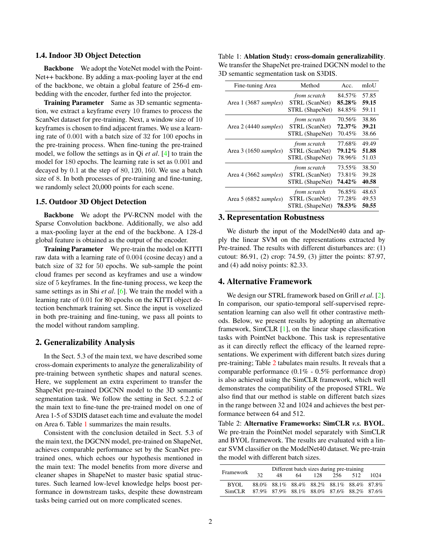#### <span id="page-1-2"></span>1.4. Indoor 3D Object Detection

Backbone We adopt the VoteNet model with the Point-Net++ backbone. By adding a max-pooling layer at the end of the backbone, we obtain a global feature of 256-d embedding with the encoder, further fed into the projector.

Training Parameter Same as 3D semantic segmentation, we extract a keyframe every 10 frames to process the ScanNet dataset for pre-training. Next, a window size of 10 keyframes is chosen to find adjacent frames. We use a learning rate of 0.001 with a batch size of 32 for 100 epochs in the pre-training process. When fine-tuning the pre-trained model, we follow the settings as in Qi *et al*. [\[4\]](#page-2-5) to train the model for 180 epochs. The learning rate is set as 0.001 and decayed by 0.1 at the step of 80, 120, 160. We use a batch size of 8. In both processes of pre-training and fine-tuning, we randomly select 20,000 points for each scene.

### 1.5. Outdoor 3D Object Detection

Backbone We adopt the PV-RCNN model with the Sparse Convolution backbone. Additionally, we also add a max-pooling layer at the end of the backbone. A 128-d global feature is obtained as the output of the encoder.

Training Parameter We pre-train the model on KITTI raw data with a learning rate of 0.004 (cosine decay) and a batch size of 32 for 50 epochs. We sub-sample the point cloud frames per second as keyframes and use a window size of 5 keyframes. In the fine-tuning process, we keep the same settings as in Shi *et al*. [\[6\]](#page-2-6). We train the model with a learning rate of 0.01 for 80 epochs on the KITTI object detection benchmark training set. Since the input is voxelized in both pre-training and fine-tuning, we pass all points to the model without random sampling.

## 2. Generalizability Analysis

In the Sect. 5.3 of the main text, we have described some cross-domain experiments to analyze the generalizability of pre-training between synthetic shapes and natural scenes. Here, we supplement an extra experiment to transfer the ShapeNet pre-trained DGCNN model to the 3D semantic segmentation task. We follow the setting in Sect. 5.2.2 of the main text to fine-tune the pre-trained model on one of Area 1-5 of S3DIS dataset each time and evaluate the model on Area 6. Table [1](#page-1-0) summarizes the main results.

Consistent with the conclusion detailed in Sect. 5.3 of the main text, the DGCNN model, pre-trained on ShapeNet, achieves comparable performance set by the ScanNet pretrained ones, which echoes our hypothesis mentioned in the main text: The model benefits from more diverse and cleaner shapes in ShapeNet to master basic spatial structures. Such learned low-level knowledge helps boost performance in downstream tasks, despite these downstream tasks being carried out on more complicated scenes.

<span id="page-1-0"></span>Table 1: Ablation Study: cross-domain generalizability. We transfer the ShapeNet pre-trained DGCNN model to the 3D semantic segmentation task on S3DIS.

| Fine-tuning Area      | Method          | Acc.        | mIoU  |
|-----------------------|-----------------|-------------|-------|
| Area 1 (3687 samples) | from scratch    | 84.57%      | 57.85 |
|                       | STRL (ScanNet)  | $85.28\,\%$ | 59.15 |
|                       | STRL (ShapeNet) | 84.85%      | 59.11 |
| Area 2 (4440 samples) | from scratch    | 70.56%      | 38.86 |
|                       | STRL (ScanNet)  | $72.37\%$   | 39.21 |
|                       | STRL (ShapeNet) | 70.45%      | 38.66 |
| Area 3 (1650 samples) | from scratch    | 77.68%      | 49.49 |
|                       | STRL (ScanNet)  | 79.12%      | 51.88 |
|                       | STRL (ShapeNet) | 78.96%      | 51.03 |
| Area 4 (3662 samples) | from scratch    | 73.55%      | 38.50 |
|                       | STRL (ScanNet)  | 73.81%      | 39.28 |
|                       | STRL (ShapeNet) | 74.42%      | 40.58 |
| Area 5 (6852 samples) | from scratch    | 76.85%      | 48.63 |
|                       | STRL (ScanNet)  | 77.28%      | 49.53 |
|                       | STRL (ShapeNet) | 78.53%      | 50.55 |

## 3. Representation Robustness

We disturb the input of the ModelNet40 data and apply the linear SVM on the representations extracted by Pre-trained. The results with different disturbances are: (1) cutout: 86.91, (2) crop: 74.59, (3) jitter the points: 87.97, and (4) add noisy points: 82.33.

## 4. Alternative Framework

We design our STRL framework based on Grill *et al*. [\[2\]](#page-2-0). In comparison, our spatio-temporal self-supervised representation learning can also well fit other contrastive methods. Below, we present results by adopting an alternative framework, SimCLR [\[1\]](#page-2-7), on the linear shape classification tasks with PointNet backbone. This task is representative as it can directly reflect the efficacy of the learned representations. We experiment with different batch sizes during pre-training; Table [2](#page-1-1) tabulates main results. It reveals that a comparable performance (0.1% - 0.5% performance drop) is also achieved using the SimCLR framework, which well demonstrates the compatibility of the proposed STRL. We also find that our method is stable on different batch sizes in the range between 32 and 1024 and achieves the best performance between 64 and 512.

<span id="page-1-1"></span>Table 2: Alternative Frameworks: SimCLR *v.s.* BYOL. We pre-train the PointNet model separately with SimCLR and BYOL framework. The results are evaluated with a linear SVM classifier on the ModelNet40 dataset. We pre-train the model with different batch sizes.

| Different batch sizes during pre-training |     |    |     |  |  |                                                                                                   |  |
|-------------------------------------------|-----|----|-----|--|--|---------------------------------------------------------------------------------------------------|--|
| 32                                        | 48. | 64 | 128 |  |  | 1024                                                                                              |  |
|                                           |     |    |     |  |  |                                                                                                   |  |
|                                           |     |    |     |  |  | 256 512<br>88.0% 88.1% 88.4% 88.2% 88.1% 88.4% 87.8%<br>87.9% 87.9% 88.1% 88.0% 87.6% 88.2% 87.6% |  |